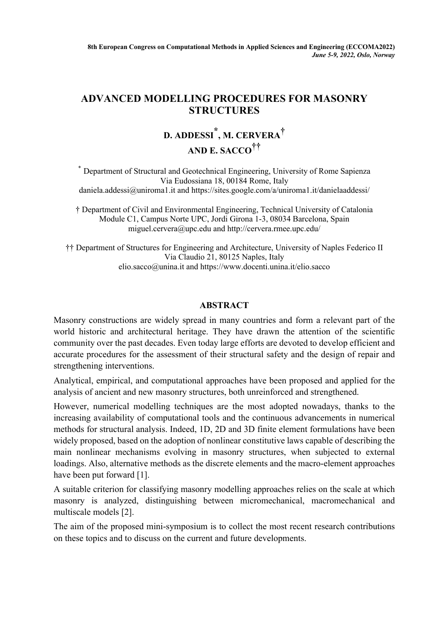## **ADVANCED MODELLING PROCEDURES FOR MASONRY STRUCTURES**

## **D. ADDESSI \*, M. CERVERA† AND E. SACCO††**

\* Department of Structural and Geotechnical Engineering, University of Rome Sapienza Via Eudossiana 18, 00184 Rome, Italy daniela.addessi@uniroma1.it and https://sites.google.com/a/uniroma1.it/danielaaddessi/

† Department of Civil and Environmental Engineering, Technical University of Catalonia Module C1, Campus Norte UPC, Jordi Girona 1-3, 08034 Barcelona, Spain miguel.cervera@upc.edu and http://cervera.rmee.upc.edu/

†† Department of Structures for Engineering and Architecture, University of Naples Federico II Via Claudio 21, 80125 Naples, Italy elio.sacco@unina.it and https://www.docenti.unina.it/elio.sacco

## **ABSTRACT**

Masonry constructions are widely spread in many countries and form a relevant part of the world historic and architectural heritage. They have drawn the attention of the scientific community over the past decades. Even today large efforts are devoted to develop efficient and accurate procedures for the assessment of their structural safety and the design of repair and strengthening interventions.

Analytical, empirical, and computational approaches have been proposed and applied for the analysis of ancient and new masonry structures, both unreinforced and strengthened.

However, numerical modelling techniques are the most adopted nowadays, thanks to the increasing availability of computational tools and the continuous advancements in numerical methods for structural analysis. Indeed, 1D, 2D and 3D finite element formulations have been widely proposed, based on the adoption of nonlinear constitutive laws capable of describing the main nonlinear mechanisms evolving in masonry structures, when subjected to external loadings. Also, alternative methods as the discrete elements and the macro-element approaches have been put forward [1].

A suitable criterion for classifying masonry modelling approaches relies on the scale at which masonry is analyzed, distinguishing between micromechanical, macromechanical and multiscale models [2].

The aim of the proposed mini-symposium is to collect the most recent research contributions on these topics and to discuss on the current and future developments.